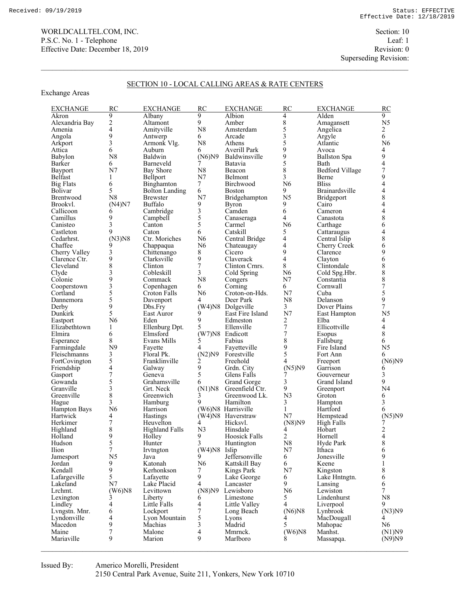Exchange Areas

Superseding Revision:

## SECTION 10 - LOCAL CALLING AREAS & RATE CENTERS

| <b>EXCHANGE</b>       | RC                       | <b>EXCHANGE</b>       | RC             | <b>EXCHANGE</b>           | <b>RC</b>               | <b>EXCHANGE</b>        | RC                       |
|-----------------------|--------------------------|-----------------------|----------------|---------------------------|-------------------------|------------------------|--------------------------|
| Akron                 | 9                        | Albany                | 9              | Albion                    | 4                       | Alden                  | 9                        |
| Alexandria Bay        | $\overline{c}$           | Altamont              | 9              | Amber                     | $\,$ $\,$               | Amagansett             | N <sub>5</sub>           |
| Amenia                | $\overline{4}$           | Amityville            | N8             | Amsterdam                 | 5                       | Angelica               | 2                        |
| Angola                | 9                        | Antwerp               | 6              | Arcade                    | 3                       | Argyle                 | 6                        |
| Arkport               | 3                        | Armonk Vlg.           | N8             | Athens                    | 5                       | Atlantic               | N6                       |
| Attica                | 6                        | Auburn                | 6              | Averill Park              | 9                       | Avoca                  | 4                        |
| Babylon               | N8                       | Baldwin               | (N6)N9         | Baldwinsville             | 9                       | <b>Ballston Spa</b>    | 9<br>4                   |
| Barker                | 6                        | Barneveld             |                | Batavia                   | 5                       | Bath                   |                          |
| Bayport               | N7                       | <b>Bay Shore</b>      | N8             | Beacon                    | 8                       | <b>Bedford Village</b> | $\boldsymbol{7}$         |
| Belfast               | 1                        | Bellport              | N <sub>7</sub> | Belmont                   | 3                       | Berne                  | 9                        |
| <b>Big Flats</b>      | 6                        | Binghamton            | $\tau$         | Birchwood                 | N6                      | <b>Bliss</b>           | $\overline{\mathbf{4}}$  |
| <b>Bolivar</b>        | 5                        | <b>Bolton Landing</b> | 6              | <b>Boston</b>             | 9                       | Brainardsville         | $\frac{4}{8}$            |
| Brentwood             | N8                       | <b>Brewster</b>       | N7             | Bridgehampton             | N <sub>5</sub>          | Bridgeport             |                          |
| Brookvl.              | (N4)N7                   | Buffalo               | 9              | <b>Byron</b>              | 9                       | Cairo                  | $\overline{\mathbf{4}}$  |
| Callicoon             | 6                        | Cambridge             | 3              | Camden                    | 6                       | Cameron                | 4                        |
| Camillus              | 9                        | Campbell              | 5              | Canaseraga                | 4                       | Canastota              | 8                        |
| Canisteo              | 3                        | Canton                | 5              | Carmel                    | N6                      | Carthage               | 6                        |
| Castleton             | 9                        | Caton                 | 6              | Catskill                  | 5                       | Cattaraugus            | $\overline{\mathbf{4}}$  |
| Cedarhrst.            | $(N3)$ N8                | Ctr. Moriches         | N <sub>6</sub> | Central Bridge            | 4                       | Central Islip          | 8                        |
| Chaffee               | 9                        | Chappaqua             | N <sub>6</sub> | Chateaugay                | 4                       | Cherry Creek           | 6                        |
| Cherry Valley         | 3                        | Chittenango           | 8              | Cicero                    | 9                       | Clarence               | 9                        |
| Clarence Ctr.         | 9                        | Clarksville           | 9              | Claverack                 | $\overline{\mathbf{4}}$ | Clayton                | 6                        |
| Cleveland             | 8                        | Clinton               | $\overline{7}$ | Clinton Crnrs.            | 8                       | Clintondale            | 8                        |
| Clyde                 | 3                        | Cobleskill            | 3              | Cold Spring               | N <sub>6</sub>          | Cold Spg.Hbr.          | 8                        |
| Colonie               | 9                        | Commack               | N8             | Congers                   | N7                      | Constantia             | $\frac{8}{7}$            |
| Cooperstown           | 3                        | Copenhagen            | 6              | Corning                   | 6                       | Cornwall               |                          |
| Cortland              | 5                        | <b>Croton Falls</b>   | N6             | Croton-on-Hds.            | N7                      | Cuba                   | 5                        |
| Dannemora             | 5                        | Davenport             | 4              | Deer Park                 | N8                      | Delanson               | 9                        |
| Derby                 | 9                        | Dbs.Fry               |                | (W4)N8 Dolgeville         | 3                       | Dover Plains           | $\boldsymbol{7}$         |
| Dunkirk               | 5                        | East Auror            | 9              | East Fire Island          | N7                      | East Hampton           | N <sub>5</sub>           |
| Eastport              | N6                       | Eden                  | 9              | Edmeston                  | 2                       | Elba                   | 4                        |
| Elizabethtown         | 1                        | Ellenburg Dpt.        | 5              | Ellenville                | $\sqrt{ }$              | Ellicottville          | $\overline{\mathcal{A}}$ |
| Elmira                | 6                        | Elmsford              |                | (W7)N8 Endicott           | $\overline{7}$          | Esopus                 | 8                        |
| Esperance             | 8                        | Evans Mills           | 5              | Fabius                    | 8                       | Fallsburg              | 6                        |
| Farmingdale           | N <sub>9</sub>           | Fayette               | 4              | Fayetteville              | 9                       | Fire Island            | N <sub>5</sub>           |
| Fleischmanns          | 3                        | Floral Pk.            | (N2)N9         | Forestville               | 5                       | Fort Ann               | 6                        |
| FortCovington         | 5                        | Franklinville         | $\overline{c}$ | Freehold                  | 4                       | Freeport               | (N6)N9                   |
| Friendship            | $\overline{\mathcal{L}}$ | Galway                | 9              | Grdn. City                | (N5)N9                  | Garrison               | 6                        |
| Gasport               | $\overline{7}$           | Geneva                | 5              | Glens Falls               |                         | Gouverneur             | 3                        |
| Gowanda               | 5<br>3                   | Grahamsville          | 6              | Grand Gorge               | 3<br>9                  | Grand Island           | 9<br>N <sub>4</sub>      |
| Granville             | 8                        | Grt. Neck             | (N1)N8         | Greenfield Ctr.           | N <sub>3</sub>          | Greenport              |                          |
| Greenville            | 3                        | Greenwich<br>Hamburg  | 3<br>9         | Greenwood Lk.<br>Hamilton | 3                       | Groton                 | 6<br>3                   |
| Hague<br>Hampton Bays | N6                       | Harrison              |                | (W6)N8 Harrisville        | 1                       | Hampton<br>Hartford    | 6                        |
| Hartwick              | 4                        | Hastings              |                | (W4)N8 Haverstraw         | N <sub>7</sub>          | Hempstead              | (N5)N9                   |
| Herkimer              | $\overline{7}$           | Heuvelton             | 4              | Hicksvl.                  | (N8)N9                  | High Falls             | 7                        |
| Highland              | 8                        | <b>Highland Falls</b> | N <sub>3</sub> | Hinsdale                  | 4                       | Hobart                 |                          |
| Holland               | 9                        | Holley                | 9              | Hoosick Falls             | $\overline{2}$          | Hornell                | $\frac{2}{4}$            |
| Hudson                | 5                        | Hunter                | 3              | Huntington                | N8                      | Hyde Park              | 8                        |
| Ilion                 | $\overline{7}$           | Irvtngton             | (W4)N8 Islip   |                           | N7                      | Ithaca                 | 6                        |
| Jamesport             | N <sub>5</sub>           | Java                  | 9              | Jeffersonville            | 6                       | Jonesville             | 9                        |
| Jordan                | 9                        | Katonah               | N <sub>6</sub> | Kattskill Bay             | 6                       | Keene                  | $\,1$                    |
| Kendall               | 9                        | Kerhonkson            | 7              | <b>Kings Park</b>         | N7                      | Kingston               | 8                        |
| Lafargeville          | 5                        | Lafayette             | 9              | Lake George               | 6                       | Lake Hntngtn.          | 6                        |
| Lakeland              | N7                       | Lake Placid           | 4              | Lancaster                 | 9                       | Lansing                | 6                        |
| Lrchmt.               | $(W6)$ N8                | Levittown             | (N8)N9         | Lewisboro                 | N <sub>6</sub>          | Lewiston               | 7                        |
| Lexington             | 3                        | Liberty               | 6              | Limestone                 | 5                       | Lindenhurst            | N8                       |
| Lindley               | 4                        | Little Falls          | 4              | Little Valley             | 4                       | Liverpool              | 9.                       |
| Lvngstn. Mnr.         | 6                        | Lockport              | 7              | Long Beach                | (N6)N8                  | Lynbrook               | (N3)N9                   |
| Lyndonville           | 4                        | Lyon Mountain         | 5              | Lyons                     | 4                       | MacDougall             | 4                        |
| Macedon               | 9                        | Machias               | 3              | Madrid                    | 5                       | Mahopac                | N <sub>6</sub>           |
| Maine                 | 7                        | Malone                | 4              | Mmrnck.                   | $(W6)$ N8               | Manhst.                | (N1)N9                   |
| Mariaville            | 9                        | Marion                | 9              | Marlboro                  |                         | Massapqa.              | (N9)N9                   |
|                       |                          |                       |                |                           |                         |                        |                          |

Issued By: Americo Morelli, President 2150 Central Park Avenue, Suite 211, Yonkers, New York 10710